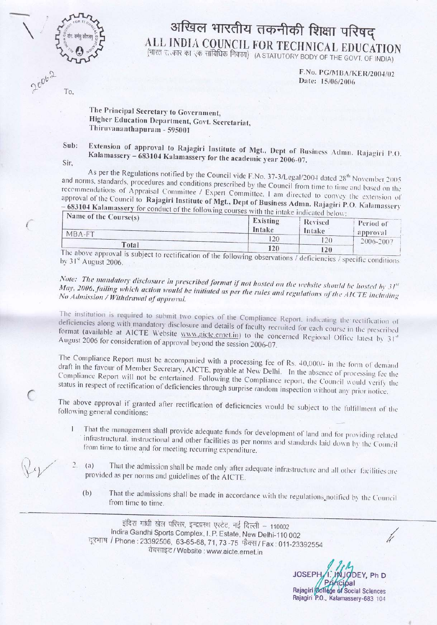

## अखिल भारतीय तकनीकी शिक्षा परिषद् ALL INDIA COUNCIL FOR TECHNICAL EDUCATION (भारत रा.कार का एक सांविधिक निकाय) (A STATUTORY BODY OF THE GOVT. OF INDIA)

F.No. PG/MBA/KER/2004/02 Date: 15/06/2006

To.

The Principal Secretary to Government, Higher Education Department, Govt. Secretariat, Thiruvananthapuram - 595001

Extension of approval to Rajagiri Institute of Mgt., Dept of Business Admn. Rajagiri P.O. Sub: Kalamassery - 683104 Kalamassery for the academic year 2006-07.

Sir,

As per the Regulations notified by the Council vide F.No. 37-3/Legal/2004 dated 28<sup>th</sup> November 2005 and norms, standards, procedures and conditions prescribed by the Council from time to time and based on the recommendations of Appraisal Committee / Expert Committee, I am directed to convey the extension of approval of the Council to Rajagiri Institute of Mgt., Dept of Business Admn. Rajagiri P.O. Kalamassery 683104 Kalamassery for conduct of the following courses with the intake indicated below:

| <b><i>TAME OF THE COUPSE(S)</i></b><br>MBA-FT  | Existing<br>Intake | Revised<br>Intake | Period of<br>approval |
|------------------------------------------------|--------------------|-------------------|-----------------------|
|                                                |                    | 20                | 2006-2007             |
| Total                                          | 120                | 120               |                       |
| The above approval is subject to $\frac{1}{2}$ |                    |                   |                       |

approval is subject to rectification of the following observations / deficiencies / specific conditions by 31st August 2006.

Note: The mandatory disclosure in prescribed format if not hosted on the website should be hosted by  $31^{st}$ May, 2006, failing which action would be initiated as per the rules and regulations of the AICTE including No Admission / Withdrawal of approval.

The institution is required to submit two copies of the Compliance Report, indicating the rectification of deficiencies along with mandatory disclosure and details of faculty recruited for each course in the prescribed format (available at AICTE Website www.aicte.ernet.in) to the concerned Regional Office latest by 31st August 2006 for consideration of approval beyond the session 2006-07.

The Compliance Report must be accompanied with a processing fee of Rs. 40,000/- in the form of demand draft in the favour of Member Secretary, AICTE, payable at New Delhi. In the absence of processing fee the Compliance Report will not be entertained. Following the Compliance report, the Council would verify the status in respect of rectification of deficiencies through surprise random inspection without any prior notice.

The above approval if granted after rectification of deficiencies would be subject to the fulfillment of the following general conditions:

- That the management shall provide adequate funds for development of land and for providing related  $\mathbf{I}$ infrastructural, instructional and other facilities as per norms and standards laid down by the Council from time to time and for meeting recurring expenditure.
- That the admission shall be made only after adequate infrastructure and all other facilities are  $\overline{2}$ .  $(a)$ provided as per norms and guidelines of the AICTE.
	- That the admissions shall be made in accordance with the regulations notified by the Council  $(b)$ from time to time.

इंदिरा गांधी खेल परिसर, इन्द्रप्रस्थ एस्टेट, नई दिल्ली – 110002 Indira Gandhi Sports Complex, I. P. Estate, New Delhi-110 002 दूरभाष / Phone: 23392506, 63-65-68, 71, 73-75 फेंक्स / Fax: 011-23392554 वैबसाइट / Website : www.aicte.ernet.in

**JOSEPH** DEY, Ph D Rajagiri College of Social Sciences Rajagiri P.O., Kalamassery-683 104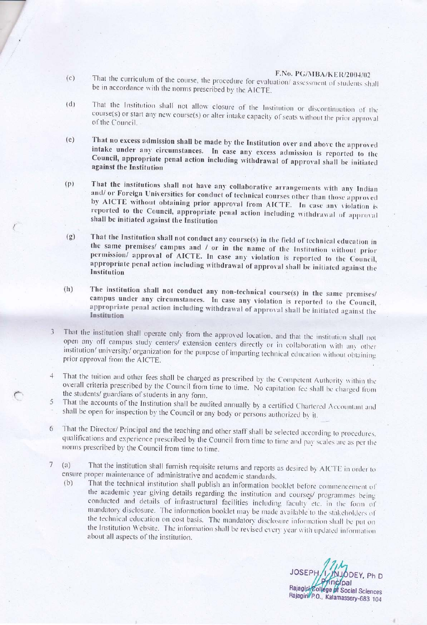## F.No. PG/MBA/KER/2004/02

- That the curriculum of the course, the procedure for evaluation/assessment of students shall  $(c)$ be in accordance with the norms prescribed by the AICTE.
- That the Institution shall not allow closure of the Institution or discontinuation of the  $(d)$ course(s) or start any new course(s) or alter intake capacity of seats without the prior approval of the Council.
- That no excess admission shall be made by the Institution over and above the approved  $(e)$ intake under any circumstances. In case any excess admission is reported to the Council, appropriate penal action including withdrawal of approval shall be initiated against the Institution
- That the institutions shall not have any collaborative arrangements with any Indian  $(p)$ and/ or Foreign Universities for conduct of technical courses other than those approved by AICTE without obtaining prior approval from AICTE. In case any violation is reported to the Council, appropriate penal action including withdrawal of approval shall be initiated against the Institution
- That the Institution shall not conduct any course(s) in the field of technical education in  $(g)$ the same premises/ campus and / or in the name of the Institution without prior permission/ approval of AICTE. In case any violation is reported to the Council, appropriate penal action including withdrawal of approval shall be initiated against the Institution
- The institution shall not conduct any non-technical course(s) in the same premises/  $(h)$ campus under any circumstances. In case any violation is reported to the Council, appropriate penal action including withdrawal of approval shall be initiated against the Institution
- That the institution shall operate only from the approved location, and that the institution shall not  $\overline{3}$ open any off campus study centers/ extension centers directly or in collaboration with any other institution/ university/ organization for the purpose of imparting technical education without obtaining prior approval from the AICTE.
- That the tuition and other fees shall be charged as prescribed by the Competent Authority within the  $\boldsymbol{\Lambda}$ overall criteria prescribed by the Council from time to time. No capitation fee shall be charged from the students/ guardians of students in any form.
- That the accounts of the Institution shall be audited annually by a certified Chartered Accountant and 5 shall be open for inspection by the Council or any body or persons authorized by it.
- That the Director/ Principal and the teaching and other staff shall be selected according to procedures, 6 qualifications and experience prescribed by the Council from time to time and pay scales are as per the norms prescribed by the Council from time to time.
- That the institution shall furnish requisite returns and reports as desired by AICTE in order to  $7\phantom{.}$  $(a)$ ensure proper maintenance of administrative and academic standards.
	- That the technical institution shall publish an information booklet before commencement of  $(b)$ the academic year giving details regarding the institution and courses/ programmes being conducted and details of infrastructural facilities including faculty etc. in the form of mandatory disclosure. The information booklet may be made available to the stakeholders of the technical education on cost basis. The mandatory disclosure information shall be put on the Institution Website. The information shall be revised every year with updated information about all aspects of the institution.

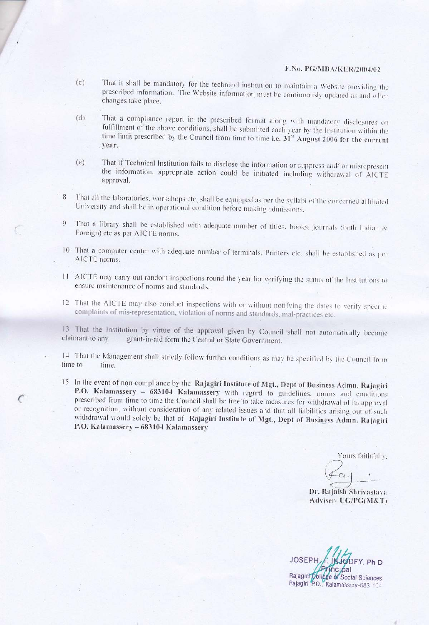## F.No. PG/MBA/KER/2004/02

- That it shall be mandatory for the technical institution to maintain a Website providing the  $(c)$ prescribed information. The Website information must be continuously updated as and when changes take place.
- That a compliance report in the prescribed format along with mandatory disclosures on  $(d)$ fulfillment of the above conditions, shall be submitted each year by the Institution within the time limit prescribed by the Council from time to time i.e.  $31<sup>st</sup>$  August 2006 for the current year.
- That if Technical Institution fails to disclose the information or suppress and/ or misrepresent  $(e)$ the information, appropriate action could be initiated including withdrawal of AICTE approval.
- That all the laboratories, workshops etc, shall be equipped as per the syllabi of the concerned affiliated 8 University and shall be in operational condition before making admissions.
- That a library shall be established with adequate number of titles, books, journals (both Indian & Foreign) etc as per AICTE norms.
- 10 That a computer center with adequate number of terminals, Printers etc. shall be established as per AICTE norms.
- 11 AICTE may carry out random inspections round the year for verifying the status of the Institutions to ensure maintenance of norms and standards.
- 12 That the AICTE may also conduct inspections with or without notifying the dates to verify specific complaints of mis-representation, violation of norms and standards, mal-practices etc.

13 That the Institution by virtue of the approval given by Council shall not automatically become claimant to any grant-in-aid form the Central or State Government.

14 That the Management shall strictly follow further conditions as may be specified by the Council from time to time.

15 In the event of non-compliance by the Rajagiri Institute of Mgt., Dept of Business Admn. Rajagiri P.O. Kalamassery - 683104 Kalamassery with regard to guidelines, norms and conditions prescribed from time to time the Council shall be free to take measures for withdrawal of its approval or recognition, without consideration of any related issues and that all liabilities arising out of such withdrawal would solely be that of Rajagiri Institute of Mgt., Dept of Business Admn. Rajagiri P.O. Kalamassery - 683104 Kalamassery

Yours faithfully.

 $c_{t}$ 

Dr. Rajnish Shrivastava Adviser- UG/PG(M&T)

**JOSEPH** DEY, Ph D Rajagirl College of Social Sciences Rajagiri P.O., Kalamassery-683 104